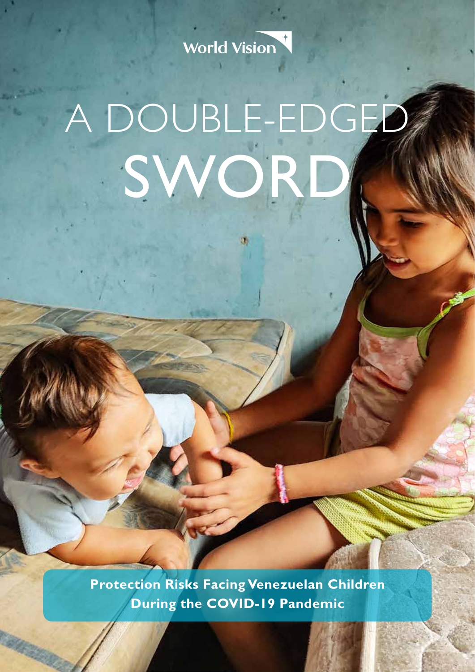

# A DOUBLE-EDGED SWOR

IJ,

**Protection Risks Facing Venezuelan Children During the COVID-19 Pandemic**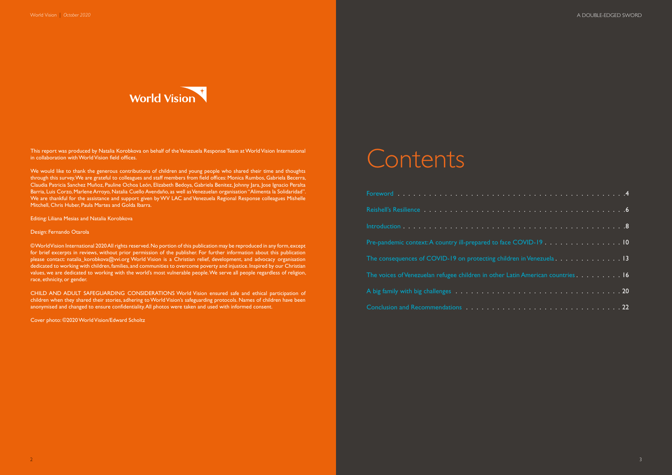|  |  |  |  |  |  |  |  |  |  |  | e COVID-19 10                                                                                                                                            |
|--|--|--|--|--|--|--|--|--|--|--|----------------------------------------------------------------------------------------------------------------------------------------------------------|
|  |  |  |  |  |  |  |  |  |  |  | dren in Venezuela $\ldots \ldots \ldots \ldots \ldots 13$                                                                                                |
|  |  |  |  |  |  |  |  |  |  |  | Latin American countries $\overline{\mathbf{a}}$ . $\overline{\mathbf{a}}$ . $\overline{\mathbf{a}}$ . $\overline{\mathbf{a}}$ . $\overline{\mathbf{b}}$ |
|  |  |  |  |  |  |  |  |  |  |  |                                                                                                                                                          |
|  |  |  |  |  |  |  |  |  |  |  |                                                                                                                                                          |



This report was produced by Natalia Korobkova on behalf of the Venezuela Response Team at World Vision International in collaboration with World Vision field offices.

We would like to thank the generous contributions of children and young people who shared their time and thoughts through this survey. We are grateful to colleagues and staff members from field offices: Monica Rumbos, Gabriela Becerra, Claudia Patricia Sanchez Muñoz, Pauline Ochoa León, Elizabeth Bedoya, Gabriela Benitez, Johnny Jara, Jose Ignacio Peralta Barria, Luis Corzo, Marlene Arroyo, Natalia Cuello Avendaño, as well as Venezuelan organisation "Alimenta la Solidaridad". We are thankful for the assistance and support given by WV LAC and Venezuela Regional Response colleagues Mishelle Mitchell, Chris Huber, Paula Martes and Golda Ibarra.

Editing: Liliana Mesias and Natalia Korobkova

#### Design: Fernando Otarola

© World Vision International 2020 All rights reserved. No portion of this publication may be reproduced in any form, except for brief excerpts in reviews, without prior permission of the publisher. For further information about this publication please contact: natalia\_korobkova@vvi.org World Vision is a Christian relief, development, and advocacy organisation dedicated to working with children, families, and communities to overcome poverty and injustice. Inspired by our Christian values, we are dedicated to working with the world's most vulnerable people. We serve all people regardless of religion, race, ethnicity, or gender.

CHILD AND ADULT SAFEGUARDING CONSIDERATIONS World Vision ensured safe and ethical participation of children when they shared their stories, adhering to World Vision's safeguarding protocols. Names of children have been anonymised and changed to ensure confidentiality. All photos were taken and used with informed consent.

Cover photo: ©2020 World Vision/Edward Scholtz

### Contents

| Pre-pandemic context: A country ill-prepared to face COVID-19 10                |
|---------------------------------------------------------------------------------|
| The consequences of COVID-19 on protecting children in Venezuela. 13            |
| The voices of Venezuelan refugee children in other Latin American countries. 16 |
|                                                                                 |
|                                                                                 |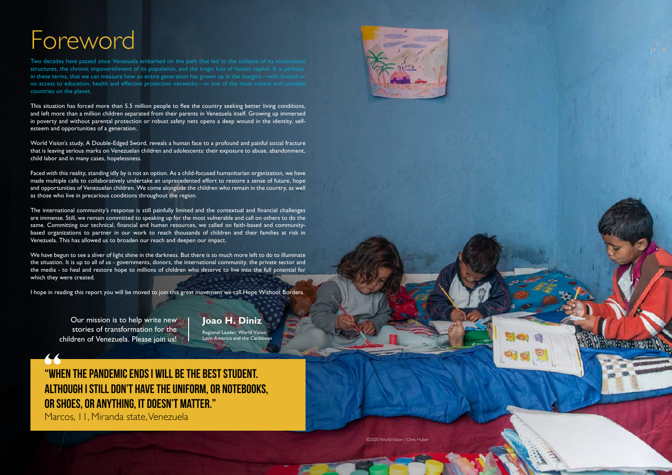

### Foreword

Two decades have passed since Venezuela embarked on the path that led to the collapse of its institutional structures, the chronic impoverishment of its population, and the tragic loss of human capital. It is perhaps in these terms, that we can measure how an entire generation has grown up in the margins—with limited or no access to education, health and effective protection networks—in one of the most violent and unstable countries on the planet.

This situation has forced more than 5.5 million people to flee the country seeking better living conditions, and left more than a million children separated from their parents in Venezuela itself. Growing up immersed in poverty and without parental protection or robust safety nets opens a deep wound in the identity, selfesteem and opportunities of a generation.

World Vision's study, A Double-Edged Sword, reveals a human face to a profound and painful social fracture that is leaving serious marks on Venezuelan children and adolescents: their exposure to abuse, abandonment, child labor and in many cases, hopelessness.

Faced with this reality, standing idly by is not an option. As a child-focused humanitarian organization, we have made multiple calls to collaboratively undertake an unprecedented effort to restore a sense of future, hope and opportunities of Venezuelan children. We come alongside the children who remain in the country, as well as those who live in precarious conditions throughout the region.

The international community's response is still painfully limited and the contextual and financial challenges are immense. Still, we remain committed to speaking up for the most vulnerable and call on others to do the same. Committing our technical, financial and human resources, we called on faith-based and communitybased organizations to partner in our work to reach thousands of children and their families at risk in Venezuela. This has allowed us to broaden our reach and deepen our impact.

We have begun to see a sliver of light shine in the darkness. But there is so much more left to do to illuminate the situation. It is up to all of us - governments, donors, the international community, the private sector and the media - to heal and restore hope to millions of children who deserve to live into the full potential for which they were created.

I hope in reading this report you will be moved to join this great movement we call Hope Without Borders.

### **"When the pandemic ends I will be the best student. Although I still don't have the uniform, or notebooks, or shoes, or anything, it doesn't matter."**

Marcos, 11, Miranda state, Venezuela



**Joao H. Diniz** Regional Leader, World Vision Latin America and the Caribbean

©2020 World Vision / Chris Huber

Our mission is to help write new stories of transformation for the children of Venezuela. Please join us!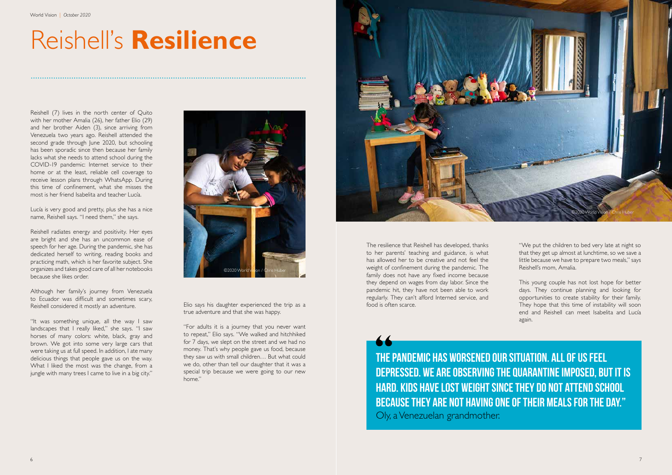## Reishell's **Resilience**

Reishell (7) lives in the north center of Quito with her mother Amalia (26), her father Elio (29) and her brother Aiden (3), since arriving from Venezuela two years ago. Reishell attended the second grade through June 2020, but schooling has been sporadic since then because her family lacks what she needs to attend school during the COVID-19 pandemic: Internet service to their home or at the least, reliable cell coverage to receive lesson plans through WhatsApp. During this time of confinement, what she misses the most is her friend Isabelita and teacher Lucía.

Lucía is very good and pretty, plus she has a nice name, Reishell says. "I need them," she says.

Reishell radiates energy and positivity. Her eyes are bright and she has an uncommon ease of speech for her age. During the pandemic, she has dedicated herself to writing, reading books and practicing math, which is her favorite subject. She organizes and takes good care of all her notebooks because she likes order.

Although her family's journey from Venezuela to Ecuador was difficult and sometimes scary, Reishell considered it mostly an adventure.

"It was something unique, all the way I saw landscapes that I really liked," she says. "I saw horses of many colors: white, black, gray and brown. We got into some very large cars that were taking us at full speed. In addition, I ate many delicious things that people gave us on the way. What I liked the most was the change, from a jungle with many trees I came to live in a big city."



Elio says his daughter experienced the trip as a true adventure and that she was happy.

"For adults it is a journey that you never want to repeat," Elio says. "We walked and hitchhiked for 7 days, we slept on the street and we had no money. That's why people gave us food, because they saw us with small children… But what could we do, other than tell our daughter that it was a special trip because we were going to our new home."

The resilience that Reishell has developed, thanks to her parents' teaching and guidance, is what has allowed her to be creative and not feel the weight of confinement during the pandemic. The family does not have any fixed income because they depend on wages from day labor. Since the pandemic hit, they have not been able to work regularly. They can't afford Interned service, and food is often scarce.

**The pandemic has worsened our situation. All of us feel depressed. We are observing the quarantine imposed, but it is hard. Kids have lost weight since they do not attend school because they are not having one of their meals for the day."** Oly, a Venezuelan grandmother.

"We put the children to bed very late at night so that they get up almost at lunchtime, so we save a little because we have to prepare two meals," says Reishell's mom, Amalia.

This young couple has not lost hope for better days. They continue planning and looking for opportunities to create stability for their family. They hope that this time of instability will soon end and Reishell can meet Isabelita and Lucía again.

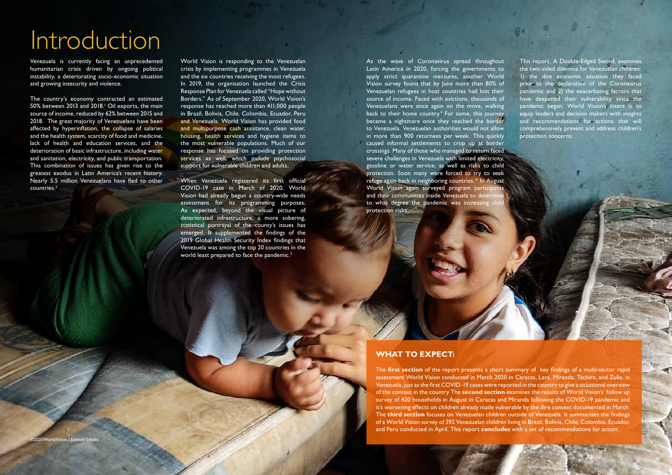## Introduction

Venezuela is currently facing an unprecedented humanitarian crisis driven by ongoing political instability, a deteriorating socio-economic situation and growing insecurity and violence.

World Vision is responding to the Venezuelan crisis by implementing programmes in Venezuela and the six countries receiving the most refugees. In 2019, the organisation launched the Crisis Response Plan for Venezuela called "Hope without Borders." As of September 2020, World Vision's response has reached more than 411,000 people in Brazil, Bolivia, Chile, Colombia, Ecuador, Peru and Venezuela. World Vision has provided food and multipurpose cash assistance, clean water, housing, health services and hygiene items to the most vulnerable populations. Much of our response has focused on providing protection services as well, which include psychosocial support for vulnerable children and adults.

World Vision | *October 2020* A DOUBLE-EDGED SWORD | *DOUBLE-EDGED SWORD | 2020* A DOUBLE-EDGED SWORD | A DOUBLE-EDGED SWORD | A

and the second control of the second control of the second control of the second control of the second control of the second control of the second control of the second control of the second control of the second control o

The country's economy contracted an estimated 50% between 2013 and 2018.<sup>1</sup> Oil exports, the main source of income, reduced by 62% between 2015 and 2018. The great majority of Venezuelans have been affected by hyperinflation, the collapse of salaries and the health system, scarcity of food and medicine, lack of health and education services, and the deterioration of basic infrastructure, including water and sanitation, electricity, and public transportation. This combination of issues has given rise to the greatest exodus in Latin America's recent history. Nearly 5.5 million Venezuelans have fled to other countries.2

When Venezuela registered its first official COVID-19 case in March of 2020, World Vision had already begun a country-wide needs assessment for its programming purposes. As expected, beyond the visual picture of deteriorated infrastructure, a more sobering, statistical portrayal of the county's issues has emerged. It supplemented the findings of the 2019 Global Health Security Index findings that Venezuela was among the top 20 countries in the world least prepared to face the pandemic. $3$ 

As the wave of Coronavirus spread throughout Latin America in 2020, forcing the governments to apply strict quarantine measures, another World Vision survey found that by June more than 80% of Venezuelan refugees in host countries had lost their source of income. Faced with evictions, thousands of Venezuelans were once again on the move, walking back to their home country.<sup>4</sup> For some, this journey became a nightmare once they reached the border to Venezuela. Venezuelan authorities would not allow in more than 900 returnees per week. This quickly caused informal settlements to crop up at border crossings. Many of those who managed to return faced severe challenges in Venezuela with limited electricity, gasoline or water service, as well as risks to child protection. Soon many were forced to try to seek refuge again back in neighboring countries. W In August World Vision again surveyed program participants and their communities inside Venezuela to determ to what degree the pandemic was increasing chi protection risks.

This report, A Double-Edged Sword, examines the two-sided dilemma for Venezuelan children: 1) the dire economic situation they faced prior to the declaration of the Coronavirus pandemic and 2) the exacerbating factors that have deepened their vulnerability since the pandemic began. World Vision's intent is to equip leaders and decision makers with insights and recommendations for actions that will comprehensively prevent and address children's protection concerns.

#### **WHAT TO EXPECT:**

The **first section** of the report presents a short summary of key findings of a multi-sector rapid assessment World Vision conducted in March 2020 in Caracas, Lara, Miranda, Táchira, and Zulia, in Venezuela, just as the first COVID-19 cases were reported in the country to give a situational overview of the context in the country The **second section** examines the results of World Vision's follow up survey of 420 households in August in Caracas and Miranda following the COVID-19 pandemic and it's worsening effects on children already made vulnerable by the dire context documented in March. The **third section** focuses on Venezuelan children outside of Venezuela. It summarises the findings of a World Vision survey of 392 Venezuelan children living in Brazil, Bolivia, Chile, Colombia, Ecuador, and Peru conducted in April. This report **concludes** with a set of recommendations for action.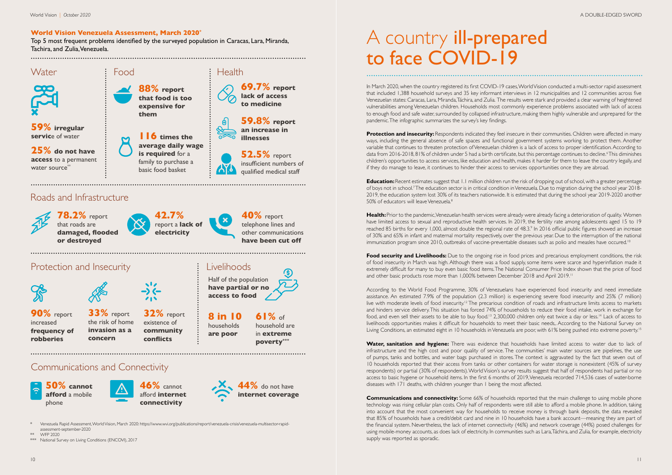### A country ill-prepared to face COVID-19

In March 2020, when the country registered its first COVID-19 cases, World Vision conducted a multi-sector rapid assessment that included 1,388 household surveys and 35 key informant interviews in 12 municipalities and 12 communities across five Venezuelan states: Caracas, Lara, Miranda, Táchira, and Zulia. The results were stark and provided a clear warning of heightened vulnerabilities among Venezuelan children. Households most commonly experience problems associated with lack of access to enough food and safe water, surrounded by collapsed infrastructure, making them highly vulnerable and unprepared for the pandemic. The infographic summarizes the survey's key findings.

**Protection and insecurity:** Respondents indicated they feel insecure in their communities. Children were affected in many ways, including the general absence of safe spaces and functional government systems working to protect them. Another variable that continues to threaten protection of Venezuelan children is a lack of access to proper identification. According to data from 2016-2018, 81% of children under 5 had a birth certificate, but this percentage continues to decline.<sup>6</sup>This diminishes children's opportunities to access services, like education and health, makes it harder for them to leave the country legally, and if they do manage to leave, it continues to hinder their access to services opportunities once they are abroad.

**Education:** Recent estimates suggest that 1.1 million children run the risk of dropping out of school, with a greater percentage of boys not in school.<sup>7</sup> The education sector is in critical condition in Venezuela. Due to migration during the school year 2018-2019, the education system lost 30% of its teachers nationwide. It is estimated that during the school year 2019-2020 another 50% of educators will leave Venezuela.8

**Health:** Prior to the pandemic, Venezuelan health services were already were already facing a deterioration of quality. Women have limited access to sexual and reproductive health services. In 2019, the fertility rate among adolescents aged 15 to 19 reached 85 births for every 1,000, almost double the regional rate of 48.3.<sup>9</sup> In 2016 official public figures showed an increase of 30% and 65% in infant and maternal mortality respectively, over the previous year. Due to the interruption of the national immunization program since 2010, outbreaks of vaccine-preventable diseases such as polio and measles have occured.<sup>10</sup>

**Food security and Livelihoods:** Due to the ongoing rise in food prices and precarious employment conditions, the risk of food insecurity in March was high. Although there was a food supply, some items were scarce and hyperinflation made it extremely difficult for many to buy even basic food items. The National Consumer Price Index shown that the price of food and other basic products rose more than 1,000% between December 2018 and April 2019.11

According to the World Food Programme, 30% of Venezuelans have experienced food insecurity and need immediate assistance. An estimated 7.9% of the population (2.3 million) is experiencing severe food insecurity and 25% (7 million) live with moderate levels of food insecurity.<sup>12</sup> The precarious condition of roads and infrastructure limits access to markets and hinders service delivery. This situation has forced 74% of households to reduce their food intake, work in exchange for food, and even sell their assets to be able to buy food.<sup>13</sup> 2,300,000 children only eat twice a day or less.<sup>14</sup> Lack of access to livelihoods opportunities makes it difficult for households to meet their basic needs,. According to the National Survey on Living Conditions, an estimated eight in 10 households in Venezuela are poor, with 61% being pushed into extreme poverty.<sup>15</sup>

Water, sanitation and hygiene: There was evidence that households have limited access to water due to lack of infrastructure and the high cost and poor quality of service. The communities' main water sources are pipelines, the use of pumps, tanks and bottles, and water bags purchased in stores. The context is aggravated by the fact that seven out of 10 households reported that their access from tanks or other containers for water storage is nonexistent (45% of survey respondents) or partial (30% of respondents). World Vision's survey results suggest that half of respondents had partial or no access to basic hygiene or household items. In the first 6 months of 2019, Venezuela recorded 714,536 cases of water-borne diseases with 171 deaths, with children younger than 1 being the most affected.

**Communications and connectivity:** Some 66% of households reported that the main challenge to using mobile phone technology was rising cellular plan costs. Only half of respondents were still able to afford a mobile phone. In addition, taking into account that the most convenient way for households to receive money is through bank deposits, the data revealed that 85% of households have a credit/debit card and nine in 10 households have a bank account—meaning they are part of the financial system. Nevertheless, the lack of internet connectivity (46%) and network coverage (44%) posed challenges for using mobile-money accounts, as does lack of electricity. In communities such as Lara, Táchira, and Zulia, for example, electricity supply was reported as sporadic.

#### **World Vision Venezuela Assessment, March 2020\***

Top 5 most frequent problems identified by the surveyed population in Caracas, Lara, Miranda, Tachira, and Zulia, Venezuela.

#### Communications and Connectivity

**90%** report increased **frequency of robberies**

> **50% cannot afford** a mobile phone







**8 in 10** households **are poor**

household are in **extreme poverty\*\*\***

**33%** report the risk of home **invasion as a concern**

**32%** report existence of **community conflicts** 

\* Venezuela Rapid Assessment, World Vision, March 2020: https://www.wvi.org/publications/report/venezuela-crisis/venezuela-multisector-rapidassessment-september-2020

\*\* WFP 2020

\*\*\* National Survey on Living Conditions (ENCOVI), 2017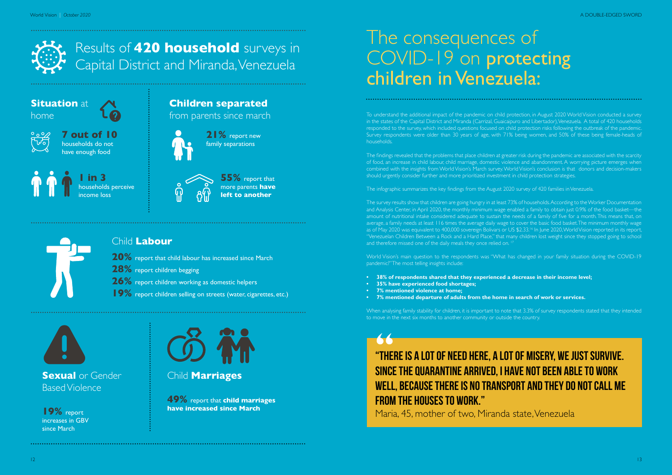### The consequences of COVID-19 on protecting children in Venezuela:

To understand the additional impact of the pandemic on child protection, in August 2020 World Vision conducted a survey in the states of the Capital District and Miranda (Carrizal, Guaicaipuro and Libertador), Venezuela. A total of 420 households responded to the survey, which included questions focused on child protection risks following the outbreak of the pandemic. Survey respondents were older than 30 years of age, with 71% being women, and 50% of these being female-heads of households.

The survey results show that children are going hungry in at least 73% of households. According to the Worker Documentation and Analysis Center, in April 2020, the monthly minimum wage enabled a family to obtain just 0.9% of the food basket—the amount of nutritional intake considered adequate to sustain the needs of a family of five for a month. This means that, on average, a family needs at least 116 times the average daily wage to cover the basic food basket. The minimum monthly wage as of May 2020 was equivalent to 400,000 sovereign Bolivars or US \$2.33.<sup>16</sup> In June 2020, World Vision reported in its report, "Venezuelan Children Between a Rock and a Hard Place," that many children lost weight since they stopped going to school and therefore missed one of the daily meals they once relied on.<sup>1</sup>

The findings revealed that the problems that place children at greater risk during the pandemic are associated with the scarcity of food, an increase in child labour, child marriage, domestic violence and abandonment. A worrying picture emerges when combined with the insights from World Vision's March survey. World Vision's conclusion is that donors and decision-makers should urgently consider further and more prioritized investment in child protection strategies.

The infographic summarizes the key findings from the August 2020 survey of 420 families in Venezuela.

World Vision's main question to the respondents was "What has changed in your family situation during the COVID-19 pandemic?" The most telling insights include:

- **• 38% of respondents shared that they experienced a decrease in their income level;**
- **• 35% have experienced food shortages;**
- **• 7% mentioned violence at home;**
- **• 7% mentioned departure of adults from the home in search of work or services.**

When analysing family stability for children, it is important to note that 3.3% of survey respondents stated that they intended to move in the next six months to another community or outside the country.



**Situation** at home



#### **Children separated** from parents since march

**7 out of 10**  households do not have enough food







**1 in 3**  households perceive income loss

**55%** report that more parents **have left to another**



### **"There is a lot of need here, a lot of misery, we just survive. Since the quarantine arrived, I have not been able to work well, because there is no transport and they do not call me from the houses to work."**

Maria, 45, mother of two, Miranda state, Venezuela

#### Child **Labour**

**20%** report that child labour has increased since March **28%** report children begging **26%** report children working as domestic helpers

19% report children selling on streets (water, cigarettes, etc.)

**Sexual** or Gender Based Violence

#### Child **Marriages**

**19%** report increases in GBV since March



**49%** report that **child marriages have increased since March**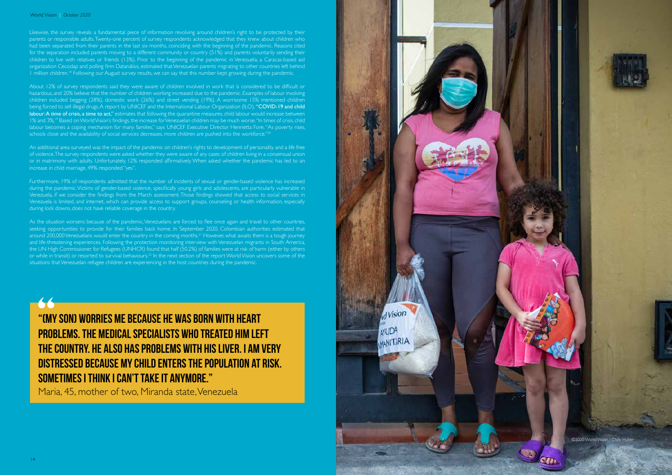About 12% of survey respondents said they were aware of children involved in work that is considered to be difficult or hazardous, and 20% believe that the number of children working increased due to the pandemic. Examples of labour involving children included begging (28%), domestic work (26%) and street vending (19%). A worrisome 15% mentioned children being forced to sell illegal drugs. A report by UNICEF and the International Labour Organization (ILO), "COVID-19 and child labour: A time of crisis, a time to act," estimates that following the quarantine measures, child labour would increase between 1% and 3%,19 Based on World Vision's findings, the increase for Venezuelan children may be much worse. "In times of crisis, child labour becomes a coping mechanism for many families," says UNICEF Executive Director Henrietta Fore. "As poverty rises, schools close and the availability of social services decreases, more children are pushed into the workforce."<sup>20</sup>

#### World Vision | *October 2020* A DOUBLE-EDGED SWORD - A DOUBLE-EDGED SWORD - A DOUBLE-EDGED SWORD - A DOUBLE-EDGED SWORD - A DOUBLE-EDGED SWORD - A DOUBLE-EDGED SWORD - A DOUBLE-EDGED SWORD - A DOUBLE-EDGED SWORD - A DOUBLE

Likewise, the survey reveals a fundamental piece of information revolving around children's right to be protected by their parents or responsible adults. Twenty-one percent of survey respondents acknowledged that they knew about children who had been separated from their parents in the last six months, coinciding with the beginning of the pandemic. Reasons cited for the separation included parents moving to a different community or country (51%) and parents voluntarily sending their children to live with relatives or friends (13%). Prior to the beginning of the pandemic in Venezuela, a Caracas-based aid organization Cecodap and polling firm Datanálisis, estimated that Venezuelan parents migrating to other countries left behind 1 million children.18 Following our August survey results, we can say that this number kept growing during the pandemic.

An additional area surveyed was the impact of the pandemic on children's rights to development of personality and a life free of violence. The survey respondents were asked whether they were aware of any cases of children living in a consensual union or in matrimony with adults. Unfortunately, 12% responded affirmatively. When asked whether the pandemic has led to an increase in child marriage, 49% responded "yes".

Furthermore, 19% of respondents admitted that the number of incidents of sexual or gender-based violence has increased during the pandemic. Victims of gender-based violence, specifically young girls and adolescents, are particularly vulnerable in Venezuela, if we consider the findings from the March assessment. Those findings showed that access to social services in Venezuela is limited, and internet, which can provide access to support groups, counseling or health information, especially during lock downs, does not have reliable coverage in the country.

As the situation worsens because of the pandemic, Venezuelans are forced to flee once again and travel to other countries, seeking opportunities to provide for their families back home. In September 2020, Colombian authorities estimated that around 200,000 Venezuelans would enter the country in the coming months.<sup>21</sup> However, what awaits them is a tough journey and life-threatening experiences. Following the protection monitoring interview with Venezuelan migrants in South America, the UN High Commissioner for Refugees (UNHCR) found that half (50.2%) of families were at risk of harm (either by others or while in transit) or resorted to survival behaviours.22 In the next section of the report World Vision uncovers some of the situations that Venezuelan refugee children are experiencing in the host countries during the pandemic.

**"(My son) worries me because he was born with heart problems. The medical specialists who treated him left the country. He also has problems with his liver. I am very distressed because my child enters the population at risk. Sometimes I think I can't take it anymore."**

Maria, 45, mother of two, Miranda state, Venezuela

©2020 World Vision / Chris Hube

d Vision

**MANITARIA** 

**NYUDA**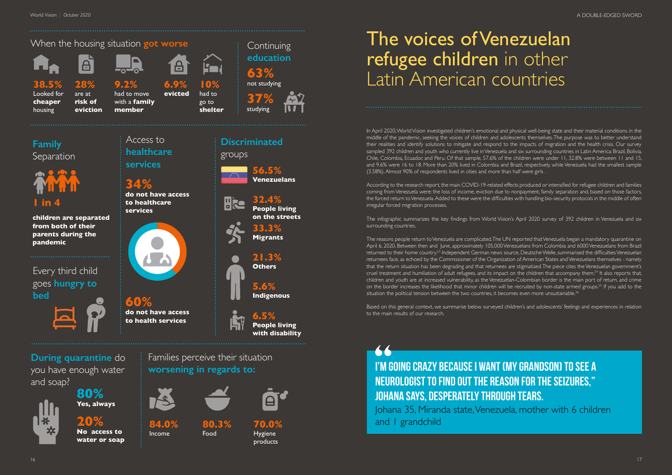### The voices of Venezuelan refugee children in other Latin American countries

In April 2020, World Vision investigated children's emotional and physical well-being state and their material conditions in the middle of the pandemic, seeking the voices of children and adolescents themselves. The purpose was to better understand their realities and identify solutions to mitigate and respond to the impacts of migration and the health crisis. Our survey sampled 392 children and youth who currently live in Venezuela and six surrounding countries in Latin America: Brazil, Bolivia, Chile, Colombia, Ecuador, and Peru. Of that sample, 57.6% of the children were under 11, 32.8% were between 11 and 15, and 9.6% were 16 to 18. More than 20% lived in Colombia and Brazil, respectively, while Venezuela had the smallest sample (3.58%). Almost 90% of respondents lived in cities and more than half were girls .

The reasons people return to Venezuela are complicated. The UN reported that Venezuela began a mandatory quarantine on April 6, 2020. Between then and June, approximately 105,000 Venezuelans from Colombia and 6000 Venezuelans from Brazil returned to their home country.23 Independent German news source, Deutsche Welle, summarised the difficulties Venezuelan returnees face, as echoed by the Commissioner of the Organization of American States and Venezuelans themselves - namely that the return situation has been degrading and that returnees are stigmatised. The piece cites the Venezuelan government's cruel treatment and humiliation of adult refugees, and its impact on the children that accompany them.<sup>24</sup> It also reports that, children and youth are at increased vulnerability, as the Venezuelan-Colombian border is the main port of return, and crime on the border increases the likelihood that minor children will be recruited by non-state armed groups.25 If you add to the situation the political tension between the two countries, it becomes even more unsustainable.<sup>26</sup>

According to the research report, the main COVID-19-related effects produced or intensified for refugee children and families coming from Venezuela were: the loss of income, eviction due to nonpayment, family separation and, based on those factors, the forced return to Venezuela. Added to these were the difficulties with handling bio-security protocols in the middle of often irregular forced migration processes.

The infographic summarizes the key findings from World Vision's April 2020 survey of 392 children in Venezuela and six surrounding countries.

Based on this general context, we summarise below surveyed children's and adolescents' feelings and experiences in relation to the main results of our research.



#### **During quarantine** do you have enough water and soap?



#### Families perceive their situation **worsening in regards to:**



#### **Family**  Separation

Access to

**healthcare** 

**services**

**Discriminated**

groups

**Hice** 

Every third child goes **hungry to bed**



**34%** 

**do not have access** 

**to healthcare** 

**services**

**60%** 

**do not have access to health services**

**56.5% Venezuelans**

**32.4%**

**People living on the streets**

**33.3% Migrants**

**21.3% Others**

**5.6% Indigenous** 

**6.5%**

**People living with disability**

**84.0%** Income

**80.3%** Food



#### **70.0%** Hygiene products



#### **20% No access to water or soap**

**1 in 4**

**children are separated from both of their parents during the pandemic**

### **I'm going crazy because I want (my grandson) to see a neurologist to find out the reason for the seizures," Johana says, desperately through tears.**  Johana 35, Miranda state, Venezuela, mother with 6 children

and 1 grandchild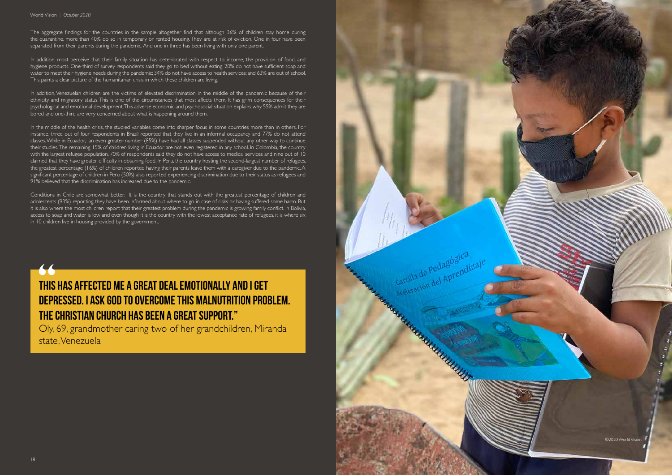

The aggregate findings for the countries in the sample altogether find that although 36% of children stay home during the quarantine, more than 40% do so in temporary or rented housing. They are at risk of eviction. One in four have been separated from their parents during the pandemic. And one in three has been living with only one parent.

In addition, most perceive that their family situation has deteriorated with respect to income, the provision of food, and hygiene products. One-third of survey respondents said they go to bed without eating; 20% do not have sufficient soap and water to meet their hygiene needs during the pandemic; 34% do not have access to health services; and 63% are out of school. This paints a clear picture of the humanitarian crisis in which these children are living.

In addition, Venezuelan children are the victims of elevated discrimination in the middle of the pandemic because of their ethnicity and migratory status. This is one of the circumstances that most affects them. It has grim consequences for their psychological and emotional development. This adverse economic and psychosocial situation explains why 55% admit they are bored and one-third are very concerned about what is happening around them.

In the middle of the health crisis, the studied variables come into sharper focus in some countries more than in others. For instance, three out of four respondents in Brazil reported that they live in an informal occupancy and 77% do not attend classes. While in Ecuador, an even greater number (85%) have had all classes suspended without any other way to continue their studies. The remaining 15% of children living in Ecuador are not even registered in any school. In Colombia, the country with the largest refugee population, 70% of respondents said they do not have access to medical services and nine out of 10 claimed that they have greater difficulty in obtaining food. In Peru, the country hosting the second-largest number of refugees, the greatest percentage (16%) of children reported having their parents leave them with a caregiver due to the pandemic. A significant percentage of children in Peru (50%) also reported experiencing discrimination due to their status as refugees and 91% believed that the discrimination has increased due to the pandemic.

Conditions in Chile are somewhat better. It is the country that stands out with the greatest percentage of children and adolescents (93%) reporting they have been informed about where to go in case of risks or having suffered some harm. But it is also where the most children report that their greatest problem during the pandemic is growing family conflict. In Bolivia, access to soap and water is low and even though it is the country with the lowest acceptance rate of refugees, it is where six in 10 children live in housing provided by the government.



### **This has affected me a great deal emotionally and I get depressed. I ask God to overcome this malnutrition problem. The Christian church has been a great support."**

Oly, 69, grandmother caring two of her grandchildren, Miranda state, Venezuela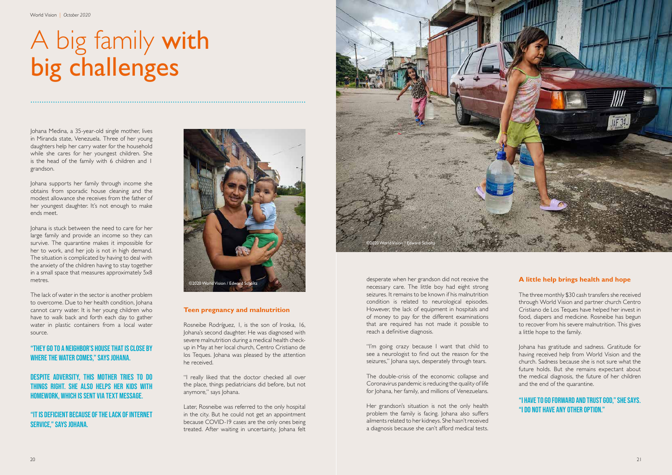## A big family with big challenges

Johana Medina, a 35-year-old single mother, lives in Miranda state, Venezuela. Three of her young daughters help her carry water for the household while she cares for her youngest children. She is the head of the family with 6 children and 1 grandson.

Johana supports her family through income she obtains from sporadic house cleaning and the modest allowance she receives from the father of her youngest daughter. It's not enough to make ends meet.

Johana is stuck between the need to care for her large family and provide an income so they can survive. The quarantine makes it impossible for her to work, and her job is not in high demand. The situation is complicated by having to deal with the anxiety of the children having to stay together in a small space that measures approximately 5x8 metres.

The lack of water in the sector is another problem to overcome. Due to her health condition, Johana cannot carry water. It is her young children who have to walk back and forth each day to gather water in plastic containers from a local water source.

#### "They go to a neighbor's house that is close by where the water comes," says Johana.

#### Despite adversity, this mother tries to do things right. She also helps her kids with homework, which is sent via text message.

#### "It is deficient because of the lack of internet service," says Johana.

#### **Teen pregnancy and malnutrition**

Rosneibe Rodríguez, 1, is the son of Iroska, 16, Johana's second daughter. He was diagnosed with severe malnutrition during a medical health checkup in May at her local church, Centro Cristiano de los Teques. Johana was pleased by the attention he received.

"I really liked that the doctor checked all over the place, things pediatricians did before, but not anymore," says Johana.



Later, Rosneibe was referred to the only hospital in the city. But he could not get an appointment because COVID-19 cases are the only ones being treated. After waiting in uncertainty, Johana felt

desperate when her grandson did not receive the necessary care. The little boy had eight strong seizures. It remains to be known if his malnutrition condition is related to neurological episodes. However, the lack of equipment in hospitals and of money to pay for the different examinations that are required has not made it possible to reach a definitive diagnosis.

"I'm going crazy because I want that child to see a neurologist to find out the reason for the seizures," Johana says, desperately through tears.

The double-crisis of the economic collapse and Coronavirus pandemic is reducing the quality of life for Johana, her family, and millions of Venezuelans.

Her grandson's situation is not the only health problem the family is facing. Johana also suffers ailments related to her kidneys. She hasn't received a diagnosis because she can't afford medical tests.

#### **A little help brings health and hope**

The three monthly \$30 cash transfers she received through World Vision and partner church Centro Cristiano de Los Teques have helped her invest in food, diapers and medicine. Rosneibe has begun to recover from his severe malnutrition. This gives a little hope to the family.

Johana has gratitude and sadness. Gratitude for having received help from World Vision and the church. Sadness because she is not sure what the future holds. But she remains expectant about the medical diagnosis, the future of her children and the end of the quarantine.

#### "I have to go forward and trust God," she says. "I do not have any other option."

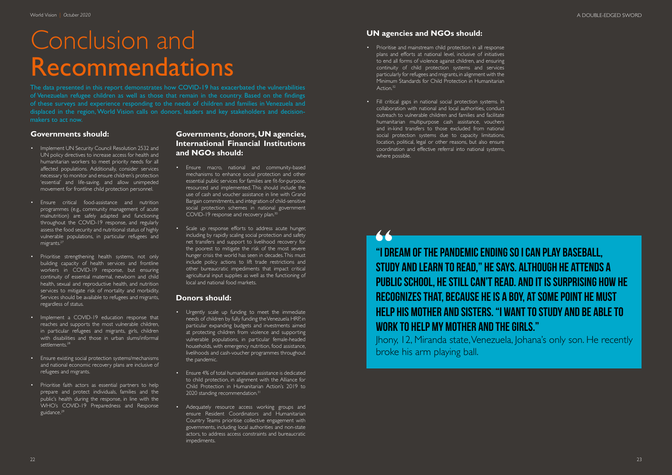## Conclusion and Recommendations

The data presented in this report demonstrates how COVID-19 has exacerbated the vulnerabilities of Venezuelan refugee children as well as those that remain in the country. Based on the findings of these surveys and experience responding to the needs of children and families in Venezuela and displaced in the region, World Vision calls on donors, leaders and key stakeholders and decisionmakers to act now.

#### **Governments should:**

- Implement UN Security Council Resolution 2532 and UN policy directives to increase access for health and humanitarian workers to meet priority needs for all affected populations. Additionally, consider services necessary to monitor and ensure children's protection 'essential' and life-saving. and allow unimpeded movement for frontline child protection personnel.
- Ensure critical food-assistance and nutrition programmes (e.g., community management of acute malnutrition) are safely adapted and functioning throughout the COVID-19 response, and regularly assess the food security and nutritional status of highly vulnerable populations, in particular refugees and migrants.<sup>27</sup>
- Prioritise strengthening health systems, not only building capacity of health services and frontline workers in COVID-19 response, but ensuring continuity of essential maternal, newborn and child health, sexual and reproductive health, and nutrition services to mitigate risk of mortality and morbidity. Services should be available to refugees and migrants, regardless of status.
- Implement a COVID-19 education response that reaches and supports the most vulnerable children, in particular refugees and migrants, girls, children with disabilities and those in urban slums/informal settlements.<sup>28</sup>
- Ensure existing social protection systems/mechanisms and national economic recovery plans are inclusive of refugees and migrants.
- Prioritise faith actors as essential partners to help prepare and protect individuals, families and the public's health during the response, in line with the WHO's COVID-19 Preparedness and Response guidance.29

#### **Governments, donors, UN agencies, International Financial Institutions and NGOs should:**

- Ensure macro, national and community-based mechanisms to enhance social protection and other essential public services for families are fit-for-purpose, resourced and implemented. This should include the use of cash and voucher assistance in line with Grand Bargain commitments, and integration of child-sensitive social protection schemes in national government COVID-19 response and recovery plan.30
- Scale up response efforts to address acute hunger, including by rapidly scaling social protection and safety net transfers and support to livelihood recovery for the poorest to mitigate the risk of the most severe hunger crisis the world has seen in decades. This must include policy actions to lift trade restrictions and other bureaucratic impediments that impact critical agricultural input supplies as well as the functioning of local and national food markets.

#### **Donors should:**

- Urgently scale up funding to meet the immediate needs of children by fully funding the Venezuela HRP, in particular expanding budgets and investments aimed at protecting children from violence and supporting vulnerable populations, in particular female-headed households, with emergency nutrition, food assistance, livelihoods and cash-voucher programmes throughout the pandemic.
- Ensure 4% of total humanitarian assistance is dedicated to child protection, in alignment with the Alliance for Child Protection in Humanitarian Action's 2019 to 2020 standing recommendation.<sup>3</sup>
- Adequately resource access working groups and ensure Resident Coordinators and Humanitarian Country Teams prioritise collective engagement with governments, including local authorities and non-state actors, to address access constraints and bureaucratic impediments.

#### **UN agencies and NGOs should:**

- Prioritise and mainstream child protection in all response plans and efforts at national level, inclusive of initiatives to end all forms of violence against children, and ensuring continuity of child protection systems and services particularly for refugees and migrants, in alignment with the Minimum Standards for Child Protection in Humanitarian Action.<sup>32</sup>
- Fill critical gaps in national social protection systems. In collaboration with national and local authorities, conduct outreach to vulnerable children and families and facilitate humanitarian multipurpose cash assistance, vouchers and in-kind transfers to those excluded from national social protection systems due to capacity limitations, location, political, legal or other reasons, but also ensure coordination and effective referral into national systems, where possible.

**"I dream of the pandemic ending so I can play baseball, study and learn to read," he says. Although he attends a public school, he still can't read. And it is surprising how he recognizes that, because he is a boy, at some point he must help his mother and sisters. "I want to study and be able to work to help my mother and the girls."**

66

Jhony, 12, Miranda state, Venezuela, Johana's only son. He recently broke his arm playing ball.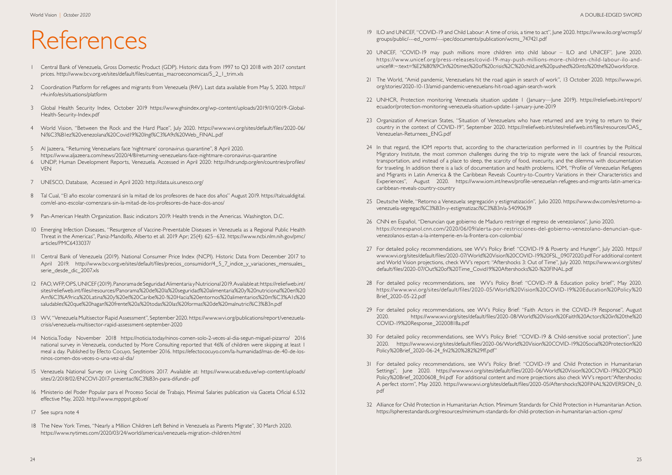## References

- 1 Central Bank of Venezuela, Gross Domestic Product (GDP). Historic data from 1997 to Q3 2018 with 2017 constant prices. http://www.bcv.org.ve/sites/default/files/cuentas\_macroeconomicas/5\_2\_1\_trim.xls
- 2 Coordination Platform for refugees and migrants from Venezuela (R4V), Last data available from May 5, 2020. https:// r4v.info/es/situations/platform
- 3 Global Health Security Index, October 2019 https://www.ghsindex.org/wp-content/uploads/2019/10/2019-Global-Health-Security-Index.pdf
- 4 World Vision, "Between the Rock and the Hard Place", July 2020. https://www.wvi.org/sites/default/files/2020-06/ Ni%C3%B1ez%20venezolana%20Covid19%20Ingl%C3%A9s%20Web\_FINAL.pdf
- 5 Al Jazeera, "Returning Venezuelans face 'nightmare' coronavirus quarantine", 8 April 2020. https://www.aljazeera.com/news/2020/4/8/returning-venezuelans-face-nightmare-coronavirus-quarantine
- 6 UNDP, Human Development Reports, Venezuela. Accessed in April 2020: http://hdr.undp.org/en/countries/profiles/ VEN
- 7 UNESCO, Database, Accessed in April 2020: http://data.uis.unesco.org/
- 8 Tal Cual, "El año escolar comenzará sin la mitad de los profesores de hace dos años" August 2019. https://talcualdigital. com/el-ano-escolar-comenzara-sin-la-mitad-de-los-profesores-de-hace-dos-anos/
- 9 Pan-American Health Organization. Basic indicators 2019: Health trends in the Americas. Washington, D.C.
- 10 Emerging Infection Diseases, "Resurgence of Vaccine-Preventable Diseases in Venezuela as a Regional Public Health Threat in the Americas", Paniz-Mandolfo, Alberto et all. 2019 Apr; 25(4): 625–632. https://www.ncbi.nlm.nih.gov/pmc/ articles/PMC6433037/
- 11 Central Bank of Venezuela (2019). National Consumer Price Index (NCPI). Historic Data from December 2017 to April 2019. http://www.bcv.org.ve/sites/default/files/precios\_consumidor/4\_5\_7\_indice\_y\_variaciones\_mensuales\_ serie desde dic 2007.xls
- 12 FAO, WFP, OPS, UNICEF (2019). Panorama de Seguridad Alimentaria y Nutricional 2019. Available at: https://reliefweb.int/ sites/reliefweb.int/files/resources/Panorama%20de%20la%20seguridad%20alimentaria%20y%20nutricional%20en%20 Am%C3%A9rica%20Latina%20y%20el%20Caribe%20-%20Hacia%20entornos%20alimentarios%20m%C3%A1s%20 saludables%20que%20hagan%20frente%20a%20todas%20las%20formas%20de%20malnutrici%C3%B3n.pdf
- 13 WV, "Venezuela Multisector Rapid Assessment", September 2020. https://www.wvi.org/publications/report/venezuelacrisis/venezuela-multisector-rapid-assessment-september-2020
- 14 Noticia.Today November 2018 https://noticia.today/ninos-comen-solo-2-veces-al-dia-segun-miguel-pizarro/ 2016 national survey in Venezuela, conducted by More Consulting reported that 46% of children were skipping at least 1 meal a day. Published by Efecto Cocuyo, September 2016. https://efectococuyo.com/la-humanidad/mas-de-40-de-losninos-comen-dos-veces-o-una-vez-al-dia/
- 15 Venezuela National Survey on Living Conditions 2017. Available at: https://www.ucab.edu.ve/wp-content/uploads/ sites/2/2018/02/ENCOVI-2017-presentaci%C3%B3n-para-difundir-.pdf
- 16 Ministerio del Poder Popular para el Proceso Social de Trabajo, Minimal Salaries publication via Gaceta Oficial 6.532 effective May, 2020. http://www.mpppst.gob.ve/
- 17 See supra note 4
- 18 The New York Times, "Nearly a Million Children Left Behind in Venezuela as Parents Migrate", 30 March 2020. https://www.nytimes.com/2020/03/24/world/americas/venezuela-migration-children.html

https://www.unicef.org/press-releases/covid-19-may-push-millions-more-children-child-labour-ilo-andunicef#:~:text=%E2%80%9CIn%20times%20of%20crisis%2C%20child,are%20pushed%20into%20the%20workforce.

country in the context of COVID-19", September 2020. https://reliefweb.int/sites/reliefweb.int/files/resources/OAS\_

Migratory Institute, the most common challenges during the trip to migrate were the lack of financial resources, transportation, and instead of a place to sleep, the scarcity of food, insecurity, and the dilemma with documentation for traveling. In addition there is a lack of documentation and health problems. IOM, "Profile of Venezuelan Refugees and Migrants in Latin America & the Caribbean Reveals Country-to-Country Variations in their Characteristics and Experiences", August 2020. https://www.iom.int/news/profile-venezuelan-refugees-and-migrants-latin-america-

- 19 ILO and UNICEF, "COVID-19 and Child Labour: A time of crisis, a time to act", June 2020. https://www.ilo.org/wcmsp5/ groups/public/---ed\_norm/---ipec/documents/publication/wcms\_747421.pdf
- 20 UNICEF, "COVID-19 may push millions more children into child labour ILO and UNICEF", June 2020.
- 21 The World, "Amid pandemic, Venezuelans hit the road again in search of work", 13 October 2020. https://www.pri. org/stories/2020-10-13/amid-pandemic-venezuelans-hit-road-again-search-work
- 22 UNHCR, Protection monitoring Venezuela situation update 1 (January—June 2019). https://reliefweb.int/report/ ecuador/protection-monitoring-venezuela-situation-update-1-january-june-2019
- 23 Organization of American States, "Situation of Venezuelans who have returned and are trying to return to their Venezuelan-Returnees\_ENG.pdf
- 24 In that regard, the IOM reports that, according to the characterization performed in 11 countries by the Political caribbean-reveals-country-country
- 25 Deutsche Welle, "Retorno a Venezuela: segregación y estigmatización", Julio 2020. https://www.dw.com/es/retorno-avenezuela-segregaci%C3%B3n-y-estigmatizaci%C3%B3n/a-54090639
- 26 CNN en Español, "Denuncian que gobierno de Maduro restringe el regreso de venezolanos", Junio 2020. venezolanos-estan-a-la-intemperie-en-la-frontera-con-colombia/
- 27 For detailed policy recommendations, see WV's Policy Brief: "COVID-19 & Poverty and Hunger", July 2020. https:// default/files/2020-07/Out%20of%20Time\_Covid19%20Aftershocks%20-%20FINAL.pdf
- 28 For detailed policy recommendations, see WV's Policy Brief: "COVID-19 & Education policy brief", May 2020. Brief\_2020-05-22.pdf
- 29 For detailed policy recommendations, see WV's Policy Brief: "Faith Actors in the COVID-19 Response", August COVID-19%20Response\_20200818a.pdf
- 30 For detailed policy recommendations, see WV's Policy Brief: "COVID-19 & Child-sensitive social protection", June Policy%20Brief\_2020-06-24\_fnl2%20%282%29ff.pdf"
- 31 For detailed policy recommendations, see WV's Policy Brief: "COVID-19 and Child Protection in Humanitarian pdf
- 32 Alliance for Child Protection in Humanitarian Action. Minimum Standards for Child Protection in Humanitarian Action. https://spherestandards.org/resources/minimum-standards-for-child-protection-in-humanitarian-action-cpms/

https://cnnespanol.cnn.com/2020/06/09/alerta-por-restricciones-del-gobierno-venezolano-denuncian-que-

www.wvi.org/sites/default/files/2020-07/World%20Vision%20COVID-19%20FSL\_09072020.pdf For additional content and World Vision projections, check WV's report: "Aftershocks 3: Out of Time", July 2020. https://www.wvi.org/sites/

https://www.wvi.org/sites/default/files/2020-05/World%20Vision%20COVID-19%20Education%20Policy%20

2020. https://www.wvi.org/sites/default/files/2020-08/World%20Vision%20Faith%20Actors%20in%20the%20

2020. https://www.wvi.org/sites/default/files/2020-06/World%20Vision%20COVID-19%20Social%20Protection%20

Settings", June 2020. https://www.wvi.org/sites/default/files/2020-06/World%20Vision%20COVID-19%20CP%20 Policy%20Brief\_20200608\_fnl.pdf\_For additional content and more projections also check WV's report: "Aftershocks: A perfect storm", May 2020. https://www.wvi.org/sites/default/files/2020-05/Aftershocks%20FINAL%20VERSION\_0.